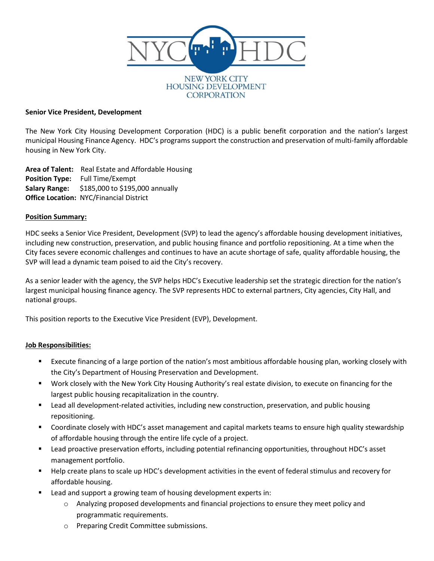

### Senior Vice President, Development

The New York City Housing Development Corporation (HDC) is a public benefit corporation and the nation's largest municipal Housing Finance Agency. HDC's programs support the construction and preservation of multi-family affordable housing in New York City.

Area of Talent: Real Estate and Affordable Housing Position Type: Full Time/Exempt **Salary Range:** \$185,000 to \$195,000 annually Office Location: NYC/Financial District

### Position Summary:

HDC seeks a Senior Vice President, Development (SVP) to lead the agency's affordable housing development initiatives, including new construction, preservation, and public housing finance and portfolio repositioning. At a time when the City faces severe economic challenges and continues to have an acute shortage of safe, quality affordable housing, the SVP will lead a dynamic team poised to aid the City's recovery.

As a senior leader with the agency, the SVP helps HDC's Executive leadership set the strategic direction for the nation's largest municipal housing finance agency. The SVP represents HDC to external partners, City agencies, City Hall, and national groups.

This position reports to the Executive Vice President (EVP), Development.

# Job Responsibilities:

- Execute financing of a large portion of the nation's most ambitious affordable housing plan, working closely with the City's Department of Housing Preservation and Development.
- Work closely with the New York City Housing Authority's real estate division, to execute on financing for the largest public housing recapitalization in the country.
- Lead all development-related activities, including new construction, preservation, and public housing repositioning.
- **Coordinate closely with HDC's asset management and capital markets teams to ensure high quality stewardship** of affordable housing through the entire life cycle of a project.
- Lead proactive preservation efforts, including potential refinancing opportunities, throughout HDC's asset management portfolio.
- Help create plans to scale up HDC's development activities in the event of federal stimulus and recovery for affordable housing.
- Lead and support a growing team of housing development experts in:
	- $\circ$  Analyzing proposed developments and financial projections to ensure they meet policy and programmatic requirements.
	- o Preparing Credit Committee submissions.